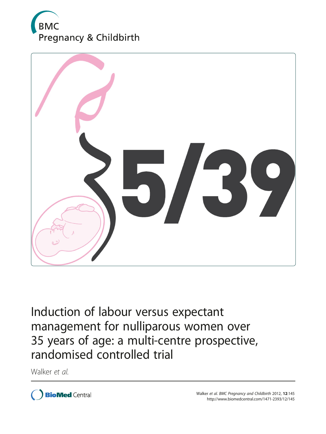



Induction of labour versus expectant management for nulliparous women over 35 years of age: a multi-centre prospective, randomised controlled trial

Walker et al.

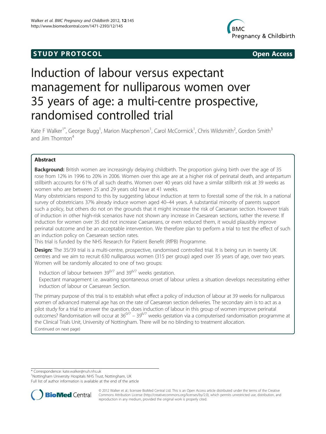# **STUDY PROTOCOL** And the set of the set of the set of the set of the set of the set of the set of the set of the set of the set of the set of the set of the set of the set of the set of the set of the set of the set of the



# Induction of labour versus expectant management for nulliparous women over 35 years of age: a multi-centre prospective, randomised controlled trial

Kate F Walker<sup>1\*</sup>, George Bugg<sup>1</sup>, Marion Macpherson<sup>1</sup>, Carol McCormick<sup>1</sup>, Chris Wildsmith<sup>2</sup>, Gordon Smith<sup>3</sup> and Jim Thornton<sup>4</sup>

# Abstract

Background: British women are increasingly delaying childbirth. The proportion giving birth over the age of 35 rose from 12% in 1996 to 20% in 2006. Women over this age are at a higher risk of perinatal death, and antepartum stillbirth accounts for 61% of all such deaths. Women over 40 years old have a similar stillbirth risk at 39 weeks as women who are between 25 and 29 years old have at 41 weeks.

Many obstetricians respond to this by suggesting labour induction at term to forestall some of the risk. In a national survey of obstetricians 37% already induce women aged 40–44 years. A substantial minority of parents support such a policy, but others do not on the grounds that it might increase the risk of Caesarean section. However trials of induction in other high-risk scenarios have not shown any increase in Caesarean sections, rather the reverse. If induction for women over 35 did not increase Caesareans, or even reduced them, it would plausibly improve perinatal outcome and be an acceptable intervention. We therefore plan to perform a trial to test the effect of such an induction policy on Caesarean section rates.

This trial is funded by the NHS Research for Patient Benefit (RfPB) Programme.

Design: The 35/39 trial is a multi-centre, prospective, randomised controlled trial. It is being run in twenty UK centres and we aim to recruit 630 nulliparous women (315 per group) aged over 35 years of age, over two years. Women will be randomly allocated to one of two groups:

Induction of labour between  $39^{0/7}$  and  $39^{6/7}$  weeks gestation.

Expectant management i.e. awaiting spontaneous onset of labour unless a situation develops necessitating either induction of labour or Caesarean Section.

The primary purpose of this trial is to establish what effect a policy of induction of labour at 39 weeks for nulliparous women of advanced maternal age has on the rate of Caesarean section deliveries. The secondary aim is to act as a pilot study for a trial to answer the question, does induction of labour in this group of women improve perinatal outcomes? Randomisation will occur at  $36^{0/7}$  –  $39^{6/7}$  weeks gestation via a computerised randomisation programme at the Clinical Trials Unit, University of Nottingham. There will be no blinding to treatment allocation. (Continued on next page)

\* Correspondence: kate.walker@nuh.nhs.uk <sup>1</sup>

<sup>1</sup>Nottingham University Hospitals NHS Trust, Nottingham, UK

Full list of author information is available at the end of the article



© 2012 Walker et al.; licensee BioMed Central Ltd. This is an Open Access article distributed under the terms of the Creative Commons Attribution License (http://creativecommons.org/licenses/by/2.0), which permits unrestricted use, distribution, and reproduction in any medium, provided the original work is properly cited.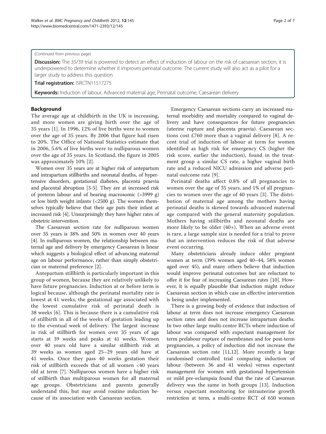#### (Continued from previous page)

Discussion: The 35/39 trial is powered to detect an effect of induction of labour on the risk of caesarean section, it is underpowered to determine whether it improves perinatal outcome. The current study will also act as a pilot for a larger study to address this question.

Trial registration: ISRCTN11517275

Keywords: Induction of labour, Advanced maternal age, Perinatal outcome, Caesarean delivery

# Background

The average age at childbirth in the UK is increasing, and more women are giving birth over the age of 35 years [[1\]](#page-7-0). In 1996, 12% of live births were to women over the age of 35 years. By 2006 that figure had risen to 20%. The Office of National Statistics estimate that in 2006, 5.6% of live births were to nulliparous women over the age of 35 years. In Scotland, the figure in 2005 was approximately 10% [\[2\]](#page-7-0).

Women over 35 years are at higher risk of antepartum and intrapartum stillbirths and neonatal deaths, of hypertensive disorders, gestational diabetes, placenta praevia and placental abruption [\[3-5](#page-7-0)]. They are at increased risk of preterm labour and of bearing macrosomic (>3999 g) or low birth weight infants (<2500 g). The women themselves typically believe that their age puts their infant at increased risk [\[4](#page-7-0)]. Unsurprisingly they have higher rates of obstetric intervention.

The Caesarean section rate for nulliparous women over 35 years is 38% and 50% in women over 40 years [[4\]](#page-7-0). In nulliparous women, the relationship between maternal age and delivery by emergency Caesarean is linear which suggests a biological effect of advancing maternal age on labour performance, rather than simply obstetrician or maternal preference [\[2](#page-7-0)].

Antepartum stillbirth is particularly important in this group of women, because they are relatively unlikely to have future pregnancies. Induction at or before term is logical because, although the perinatal mortality rate is lowest at 41 weeks, the gestational age associated with the lowest cumulative risk of perinatal death is 38 weeks [[6\]](#page-7-0). This is because there is a cumulative risk of stillbirth in all of the weeks of gestation leading up to the eventual week of delivery. The largest increase in risk of stillbirth for women over 35 years of age starts at 39 weeks and peaks at 41 weeks. Women over 40 years old have a similar stillbirth risk at 39 weeks as women aged 25–29 years old have at 41 weeks. Once they pass 40 weeks gestation their risk of stillbirth exceeds that of all women <40 years old at term [\[7](#page-7-0)]. Nulliparous women have a higher risk of stillbirth than multiparous women for all maternal age groups. Obstetricians and parents generally understand this, but may avoid routine induction because of its association with Caesarean section.

Emergency Caesarean sections carry an increased maternal morbidity and mortality compared to vaginal delivery and have consequences for future pregnancies (uterine rupture and placenta praevia). Caesarean sections cost £760 more than a vaginal delivery [[8](#page-7-0)]. A recent trial of induction of labour at term for women identified as high risk for emergency CS (higher the risk score, earlier the induction), found in the treatment group a similar CS rate, a higher vaginal birth rate and a reduced NICU admission and adverse perinatal outcome rate [[9\]](#page-7-0).

Perinatal deaths affect 0.8% of all pregnancies to women over the age of 35 years, and 1% of all pregnancies to women over the age of 40 years [[3\]](#page-7-0). The distribution of maternal age among the mothers having perinatal deaths is skewed towards advanced maternal age compared with the general maternity population. Mothers having stillbirths and neonatal deaths are more likely to be older (40+). When an adverse event is rare, a large sample size is needed for a trial to prove that an intervention reduces the risk of that adverse event occurring.

Many obstetricians already induce older pregnant women at term (39% women aged 40–44, 58% women aged over 45), and many others believe that induction would improve perinatal outcomes but are reluctant to offer it for fear of increasing Caesarean rates [[10\]](#page-7-0). However, it is equally plausible that induction might reduce Caesarean section in which case an effective intervention is being under implemented.

There is a growing body of evidence that induction of labour at term does not increase emergency Caesarean section rates and does not increase intrapartum deaths. In two other large multi-centre RCTs where induction of labour was compared with expectant management for term prelabour rupture of membranes and for post-term pregnancies, a policy of induction did not increase the Caesarean section rate [[11,12](#page-7-0)]. More recently a large randomised controlled trial comparing induction of labour (between 36 and 41 weeks) versus expectant management for women with gestational hypertension or mild pre-eclampsia found that the rate of Caesarean delivery was the same in both groups [\[13\]](#page-7-0). Induction versus expectant monitoring for intrauterine growth restriction at term, a multi-centre RCT of 650 women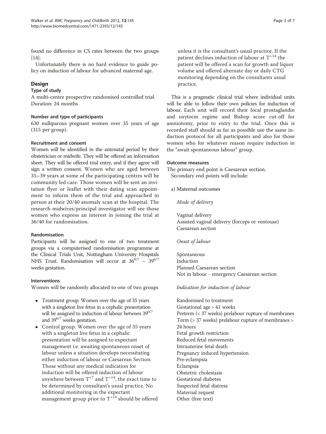found no difference in CS rates between the two groups [[14](#page-7-0)].

Unfortunately there is no hard evidence to guide policy on induction of labour for advanced maternal age.

# Design

# Type of study

A multi-centre prospective randomised controlled trial. Duration: 24 months

# Number and type of participants

630 nulliparous pregnant women over 35 years of age (315 per group).

# Recruitment and consent

Women will be identified in the antenatal period by their obstetrician or midwife. They will be offered an information sheet. They will be offered trial entry, and if they agree will sign a written consent. Women who are aged between 35–39 years at some of the participating centres will be community led care. Those women will be sent an invitation flyer or leaflet with their dating scan appointment to inform them of the trial and approached in person at their 20/40 anomaly scan at the hospital. The research midwives/principal investigator will see those women who express an interest in joining the trial at 36/40 for randomisation.

# Randomisation

Participants will be assigned to one of two treatment groups via a computerised randomisation programme at the Clinical Trials Unit, Nottingham University Hospitals NHS Trust. Randomisation will occur at  $36^{0/7}$  –  $39^{6/7}$ weeks gestation.

# Interventions

Women will be randomly allocated to one of two groups

- Treatment group: Women over the age of 35 years with a singleton live fetus in a cephalic presentation will be assigned to induction of labour between  $39^{0/7}$ and 396/7 weeks gestation.
- Control group: Women over the age of 35 years with a singleton live fetus in a cephalic presentation will be assigned to expectant management i.e. awaiting spontaneous onset of labour unless a situation develops necessitating either induction of labour or Caesarean Section. Those without any medical indication for induction will be offered induction of labour anywhere between  $T^{+7}$  and  $T^{+14}$ , the exact time to be determined by consultant's usual practice. No additional monitoring in the expectant management group prior to  $T^{+14}$  should be offered

This is a pragmatic clinical trial where individual units will be able to follow their own policies for induction of labour. Each unit will record their local prostaglandin and oxytocin regime and Bishop score cut-off for amniotomy, prior to entry to the trial. Once this is recorded staff should as far as possible use the same induction protocol for all participants and also for those women who for whatever reason require induction in the "await spontaneous labour" group.

# Outcome measures

The primary end point is Caesarean section. Secondary end points will include:

a) Maternal outcomes

# Mode of delivery

Vaginal delivery Assisted vaginal delivery (forceps or ventouse) Caesarean section

# Onset of labour

Spontaneous Induction Planned Caesarean section Not in labour - emergency Caesarean section

# Indication for induction of labour

Randomised to treatment Gestational age > 41 weeks Preterm (< 37 weeks) prelabour rupture of membranes Term (> 37 weeks) prelabour rupture of membranes > 24 hours Fetal growth restriction Reduced fetal movements Intrauterine fetal death Pregnancy induced hypertension Pre-eclampsia Eclampsia Obstetric cholestasis Gestational diabetes Suspected fetal distress Maternal request Other (free text)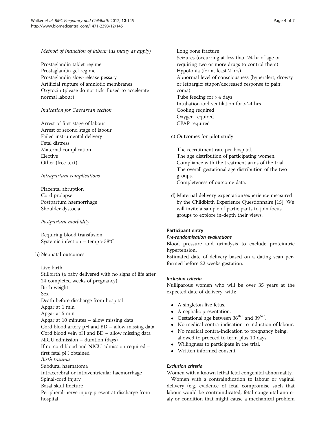Method of induction of labour (as many as apply)

Prostaglandin tablet regime Prostaglandin gel regime Prostaglandin slow-release pessary Artificial rupture of amniotic membranes Oxytocin (please do not tick if used to accelerate normal labour)

# Indication for Caesarean section

Arrest of first stage of labour Arrest of second stage of labour Failed instrumental delivery Fetal distress Maternal complication Elective Other (free text)

# Intrapartum complications

Placental abruption Cord prolapse Postpartum haemorrhage Shoulder dystocia

# Postpartum morbidity

Requiring blood transfusion Systemic infection – temp > 38°C

# b) Neonatal outcomes

Live birth

Stillbirth (a baby delivered with no signs of life after 24 completed weeks of pregnancy) Birth weight Sex Death before discharge from hospital Apgar at 1 min Apgar at 5 min Apgar at 10 minutes – allow missing data Cord blood artery pH and BD – allow missing data Cord blood vein pH and BD – allow missing data NICU admission – duration (days) If no cord blood and NICU admission required – first fetal pH obtained Birth trauma Subdural haematoma Intracerebral or intraventricular haemorrhage Spinal-cord injury Basal skull fracture Peripheral-nerve injury present at discharge from hospital

Long bone fracture Seizures (occurring at less than 24 hr of age or requiring two or more drugs to control them) Hypotonia (for at least 2 hrs) Abnormal level of consciousness (hyperalert, drowsy or lethargic; stupor/decreased response to pain; coma) Tube feeding for > 4 days Intubation and ventilation for > 24 hrs Cooling required Oxygen required CPAP required

c) Outcomes for pilot study

The recruitment rate per hospital. The age distribution of participating women. Compliance with the treatment arms of the trial. The overall gestational age distribution of the two groups. Completeness of outcome data.

d) Maternal delivery expectation/experience measured by the Childbirth Experience Questionnaire [\[15\]](#page-7-0). We will invite a sample of participants to join focus groups to explore in-depth their views.

# Participant entry

# Pre-randomisation evaluations

Blood pressure and urinalysis to exclude proteinuric hypertension.

Estimated date of delivery based on a dating scan performed before 22 weeks gestation.

# Inclusion criteria

Nulliparous women who will be over 35 years at the expected date of delivery, with:

- A singleton live fetus.
- A cephalic presentation.
- Gestational age between  $36^{0/7}$  and  $39^{6/7}$ .
- No medical contra-indication to induction of labour.
- No medical contra-indication to pregnancy being. allowed to proceed to term plus 10 days.
- Willingness to participate in the trial.
- Written informed consent.

# Exclusion criteria

Women with a known lethal fetal congenital abnormality.

Women with a contraindication to labour or vaginal delivery (e.g. evidence of fetal compromise such that labour would be contraindicated; fetal congenital anomaly or condition that might cause a mechanical problem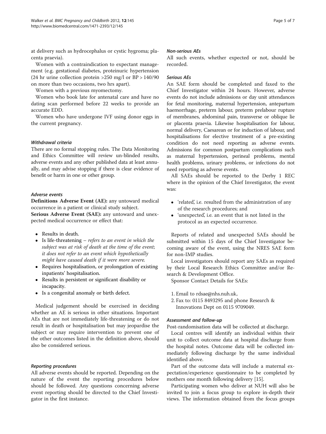at delivery such as hydrocephalus or cystic hygroma; placenta praevia).

Women with a contraindication to expectant management (e.g. gestational diabetes, proteinuric hypertension (24 hr urine collection protein  $>250$  mg/l or BP  $>140/90$ on more than two occasions, two hrs apart).

Women with a previous myomectomy.

Women who book late for antenatal care and have no dating scan performed before 22 weeks to provide an accurate EDD.

Women who have undergone IVF using donor eggs in the current pregnancy.

#### Withdrawal criteria

There are no formal stopping rules. The Data Monitoring and Ethics Committee will review un-blinded results, adverse events and any other published data at least annually, and may advise stopping if there is clear evidence of benefit or harm in one or other group.

#### Adverse events

Definitions Adverse Event (AE): any untoward medical occurrence in a patient or clinical study subject.

Serious Adverse Event (SAE): any untoward and unexpected medical occurrence or effect that:

- Results in death.
- $\bullet$  Is life-threatening refers to an event in which the subject was at risk of death at the time of the event; it does not refer to an event which hypothetically might have caused death if it were more severe.
- Requires hospitalisation, or prolongation of existing inpatients' hospitalisation.
- Results in persistent or significant disability or incapacity.
- Is a congenital anomaly or birth defect.

Medical judgement should be exercised in deciding whether an AE is serious in other situations. Important AEs that are not immediately life-threatening or do not result in death or hospitalisation but may jeopardise the subject or may require intervention to prevent one of the other outcomes listed in the definition above, should also be considered serious.

#### Reporting procedures

All adverse events should be reported. Depending on the nature of the event the reporting procedures below should be followed. Any questions concerning adverse event reporting should be directed to the Chief Investigator in the first instance.

#### Non-serious AEs

All such events, whether expected or not, should be recorded.

## Serious AEs

An SAE form should be completed and faxed to the Chief Investigator within 24 hours. However, adverse events do not include admissions or day unit attendances for fetal monitoring, maternal hypertension, antepartum haemorrhage, preterm labour, preterm prelabour rupture of membranes, abdominal pain, transverse or oblique lie or placenta praevia. Likewise hospitalisation for labour, normal delivery, Caesarean or for induction of labour, and hospitalisations for elective treatment of a pre-existing condition do not need reporting as adverse events. Admissions for common postpartum complications such as maternal hypertension, perineal problems, mental health problems, urinary problems, or infections do not need reporting as adverse events.

All SAEs should be reported to the Derby 1 REC where in the opinion of the Chief Investigator, the event was:

- 'related', i.e. resulted from the administration of any of the research procedures; and
- 'unexpected', i.e. an event that is not listed in the protocol as an expected occurrence.

Reports of related and unexpected SAEs should be submitted within 15 days of the Chief Investigator becoming aware of the event, using the NRES SAE form for non-IMP studies.

Local investigators should report any SAEs as required by their Local Research Ethics Committee and/or Research & Development Office.

Sponsor Contact Details for SAEs:

- 1. Email to rdsae@nhs.nuh.uk,
- 2. Fax to: 0115 8493295 and phone Research & Innovations Dept on 0115 9709049.

#### Assessment and follow-up

Post-randomisation data will be collected at discharge.

Local centres will identify an individual within their unit to collect outcome data at hospital discharge from the hospital notes. Outcome data will be collected immediately following discharge by the same individual identified above.

Part of the outcome data will include a maternal expectation/experience questionnaire to be completed by mothers one month following delivery [[15\]](#page-7-0).

Participating women who deliver at NUH will also be invited to join a focus group to explore in-depth their views. The information obtained from the focus groups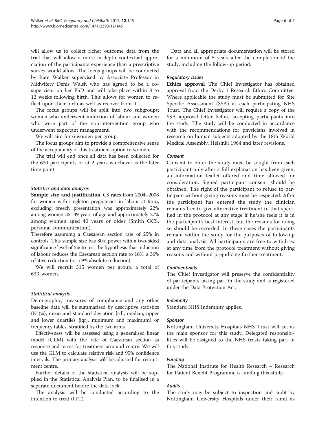will allow us to collect richer outcome data from the trial that will allow a more in-depth contextual appreciation of the participants experience than a prescriptive survey would allow. The focus groups will be conducted by Kate Walker supervised by Associate Professor in Midwifery Denis Walsh who has agreed to be a cosupervisor on her PhD and will take place within 8 to 12 weeks following birth. This allows for women to reflect upon their birth as well as recover from it.

The focus groups will be split into two subgroups: women who underwent induction of labour and women who were part of the non-intervention group who underwent expectant management.

We will aim for 6 women per group.

The focus groups aim to provide a comprehensive sense of the acceptability of this treatment option to women.

The trial will end once all data has been collected for the 630 participants or at 2 years whichever is the later time point.

## Statistics and data analysis

Sample size and justification CS rates from 2004–2008 for women with singleton pregnancies in labour at term, excluding breech presentation was approximately 22% among women 35–39 years of age and approximately 27% among women aged 40 years or older (Smith GCS, personal communication).

Therefore assuming a Caesarean section rate of 25% in controls. This sample size has 80% power with a two-sided significance level of 5% to test the hypothesis that induction of labour reduces the Caesarean section rate to 16%, a 36% relative reduction (or a 9% absolute reduction).

We will recruit 315 women per group, a total of 630 women.

#### Statistical analysis

Demographic, measures of compliance and any other baseline data will be summarised by descriptive statistics (N (%), mean and standard deviation [sd], median, upper and lower quartiles {iqr}, minimum and maximum) or frequency tables, stratified by the two arms.

Effectiveness will be assessed using a generalised linear model (GLM) with the rate of Caesarean section as response and terms for treatment arm and centre. We will use the GLM to calculate relative risk and 95% confidence intervals. The primary analysis will be adjusted for recruitment centre.

Further details of the statistical analysis will be supplied in the Statistical Analysis Plan, to be finalised in a separate document before the data lock.

The analysis will be conducted according to the intention to treat (ITT).

Data and all appropriate documentation will be stored for a minimum of 5 years after the completion of the study, including the follow-up period.

#### Regulatory issues

Ethics approval The Chief Investigator has obtained approval from the Derby 1 Research Ethics Committee. Where applicable the study must be submitted for Site Specific Assessment (SSA) at each participating NHS Trust. The Chief Investigator will require a copy of the SSA approval letter before accepting participants into the study. The study will be conducted in accordance with the recommendations for physicians involved in research on human subjects adopted by the 18th World Medical Assembly, Helsinki 1964 and later revisions.

#### Consent

Consent to enter the study must be sought from each participant only after a full explanation has been given, an information leaflet offered and time allowed for consideration. Signed participant consent should be obtained. The right of the participant to refuse to participate without giving reasons must be respected. After the participant has entered the study the clinician remains free to give alternative treatment to that specified in the protocol at any stage if he/she feels it is in the participant's best interest, but the reasons for doing so should be recorded. In these cases the participants remain within the study for the purposes of follow-up and data analysis. All participants are free to withdraw at any time from the protocol treatment without giving reasons and without prejudicing further treatment.

#### **Confidentiality**

The Chief Investigator will preserve the confidentiality of participants taking part in the study and is registered under the Data Protection Act.

#### Indemnity

Standard NHS Indemnity applies.

#### Sponsor

Nottingham University Hospitals NHS Trust will act as the main sponsor for this study. Delegated responsibilities will be assigned to the NHS trusts taking part in this study.

#### Funding

The National Institute for Health Research – Research for Patient Benefit Programme is funding this study.

# Audits

The study may be subject to inspection and audit by Nottingham University Hospitals under their remit as